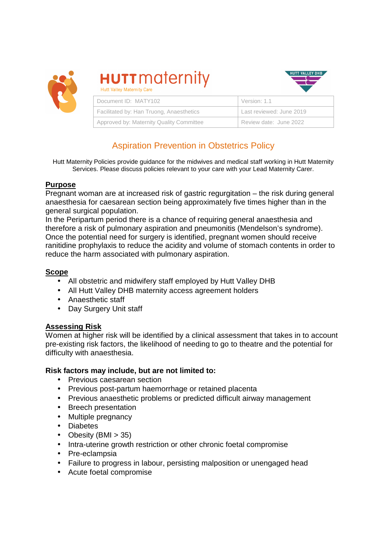

**HUTT** maternity **Hutt Valley Maternity Care** 



| Document ID: MATY102                     | Version: 1.1             |
|------------------------------------------|--------------------------|
| Facilitated by: Han Truong, Anaesthetics | Last reviewed: June 2019 |
| Approved by: Maternity Quality Committee | Review date: June 2022   |

# Aspiration Prevention in Obstetrics Policy

Hutt Maternity Policies provide guidance for the midwives and medical staff working in Hutt Maternity Services. Please discuss policies relevant to your care with your Lead Maternity Carer.

# **Purpose**

Pregnant woman are at increased risk of gastric regurgitation – the risk during general anaesthesia for caesarean section being approximately five times higher than in the general surgical population.

In the Peripartum period there is a chance of requiring general anaesthesia and therefore a risk of pulmonary aspiration and pneumonitis (Mendelson's syndrome). Once the potential need for surgery is identified, pregnant women should receive ranitidine prophylaxis to reduce the acidity and volume of stomach contents in order to reduce the harm associated with pulmonary aspiration.

## **Scope**

- All obstetric and midwifery staff employed by Hutt Valley DHB
- All Hutt Valley DHB maternity access agreement holders
- Anaesthetic staff
- Day Surgery Unit staff

# **Assessing Risk**

Women at higher risk will be identified by a clinical assessment that takes in to account pre-existing risk factors, the likelihood of needing to go to theatre and the potential for difficulty with anaesthesia.

### **Risk factors may include, but are not limited to:**

- Previous caesarean section
- Previous post-partum haemorrhage or retained placenta
- Previous anaesthetic problems or predicted difficult airway management
- Breech presentation
- Multiple pregnancy
- Diabetes
- Obesity  $(BMI > 35)$
- Intra-uterine growth restriction or other chronic foetal compromise
- Pre-eclampsia
- Failure to progress in labour, persisting malposition or unengaged head
- Acute foetal compromise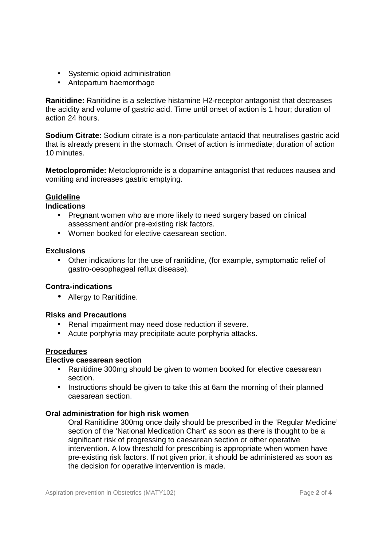- Systemic opioid administration
- Antepartum haemorrhage

**Ranitidine:** Ranitidine is a selective histamine H2-receptor antagonist that decreases the acidity and volume of gastric acid. Time until onset of action is 1 hour; duration of action 24 hours.

**Sodium Citrate:** Sodium citrate is a non-particulate antacid that neutralises gastric acid that is already present in the stomach. Onset of action is immediate; duration of action 10 minutes.

**Metoclopromide:** Metoclopromide is a dopamine antagonist that reduces nausea and vomiting and increases gastric emptying.

### **Guideline**

### **Indications**

- Pregnant women who are more likely to need surgery based on clinical assessment and/or pre-existing risk factors.
- Women booked for elective caesarean section.

#### **Exclusions**

• Other indications for the use of ranitidine, (for example, symptomatic relief of gastro-oesophageal reflux disease).

### **Contra-indications**

• Allergy to Ranitidine.

### **Risks and Precautions**

- Renal impairment may need dose reduction if severe.
- Acute porphyria may precipitate acute porphyria attacks.

### **Procedures**

### **Elective caesarean section**

- Ranitidine 300mg should be given to women booked for elective caesarean section.
- Instructions should be given to take this at 6am the morning of their planned caesarean section.

### **Oral administration for high risk women**

Oral Ranitidine 300mg once daily should be prescribed in the 'Regular Medicine' section of the 'National Medication Chart' as soon as there is thought to be a significant risk of progressing to caesarean section or other operative intervention. A low threshold for prescribing is appropriate when women have pre-existing risk factors. If not given prior, it should be administered as soon as the decision for operative intervention is made.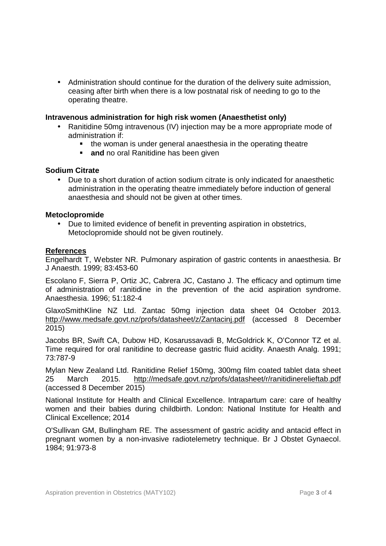• Administration should continue for the duration of the delivery suite admission, ceasing after birth when there is a low postnatal risk of needing to go to the operating theatre.

### **Intravenous administration for high risk women (Anaesthetist only)**

- Ranitidine 50mg intravenous (IV) injection may be a more appropriate mode of administration if:
	- the woman is under general anaesthesia in the operating theatre
	- **and** no oral Ranitidine has been given

### **Sodium Citrate**

• Due to a short duration of action sodium citrate is only indicated for anaesthetic administration in the operating theatre immediately before induction of general anaesthesia and should not be given at other times.

### **Metoclopromide**

• Due to limited evidence of benefit in preventing aspiration in obstetrics, Metoclopromide should not be given routinely.

### **References**

Engelhardt T, Webster NR. Pulmonary aspiration of gastric contents in anaesthesia. Br J Anaesth. 1999; 83:453-60

Escolano F, Sierra P, Ortiz JC, Cabrera JC, Castano J. The efficacy and optimum time of administration of ranitidine in the prevention of the acid aspiration syndrome. Anaesthesia. 1996; 51:182-4

GlaxoSmithKline NZ Ltd. Zantac 50mg injection data sheet 04 October 2013. http://www.medsafe.govt.nz/profs/datasheet/z/Zantacinj.pdf (accessed 8 December 2015)

Jacobs BR, Swift CA, Dubow HD, Kosarussavadi B, McGoldrick K, O'Connor TZ et al. Time required for oral ranitidine to decrease gastric fluid acidity. Anaesth Analg. 1991; 73:787-9

Mylan New Zealand Ltd. Ranitidine Relief 150mg, 300mg film coated tablet data sheet 25 March 2015. http://medsafe.govt.nz/profs/datasheet/r/ranitidinerelieftab.pdf (accessed 8 December 2015)

National Institute for Health and Clinical Excellence. Intrapartum care: care of healthy women and their babies during childbirth. London: National Institute for Health and Clinical Excellence; 2014

O'Sullivan GM, Bullingham RE. The assessment of gastric acidity and antacid effect in pregnant women by a non-invasive radiotelemetry technique. Br J Obstet Gynaecol. 1984; 91:973-8